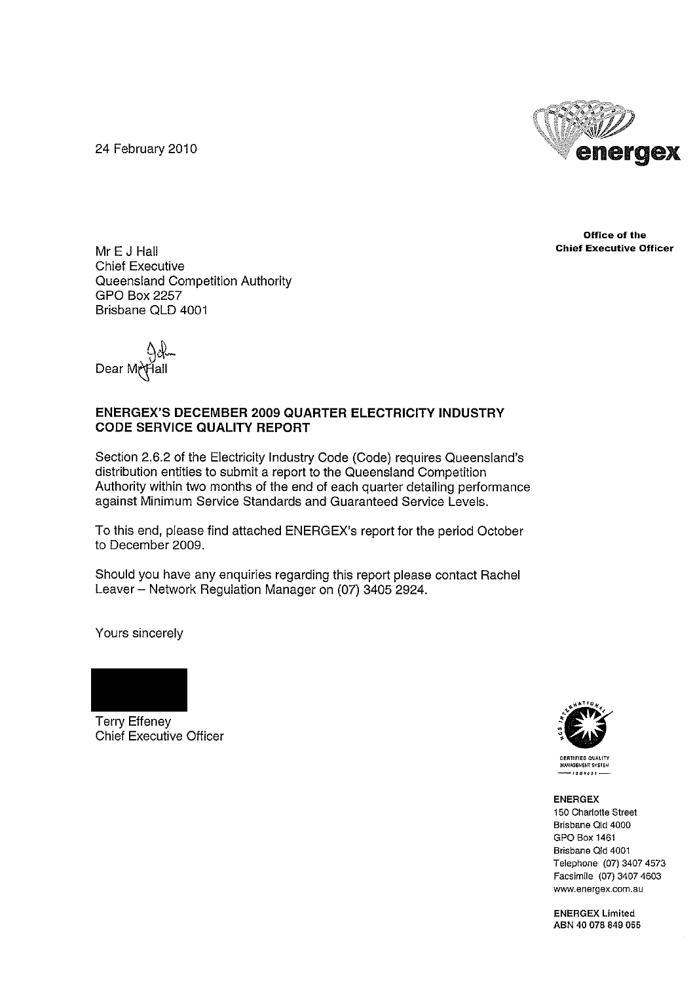24 February 2010



**Office of the Chief Executive Officer**

Mr E J Hall Chief Executive Queensland Competition Authority GPO Box 2257 Brisbane QLD 4001

← 4)ن{<br>Dear Mr\Hall

#### **ENERGEX'S DECEMBER 2009 QUARTER ELECTRICITY INDUSTRY CODE SERVICE QUALITY REPORT**

Section 2.6.2 of the Electricity Industry Code (Code) requires Queensland's distribution entities to submit a report to the Queensland Competition Authority within two months of the end of each quarter detailing performance against Minimum Service Standards and Guaranteed Service Levels.

To this end, please find attached ENERGEX's report for the period October to December 2009.

Should you have any enquiries regarding this report please contact Rachel Leaver - Network Regulation Manager on (07) 3405 2924.

Yours sincerely



Terry Effeney Chief Executive Officer



**CERTIfiED QUAllTV INANAGEMENT SYSTEM** 

#### ENERGEX

**150 Charlotte Street Brisbane Old 4000** GPO Box 1461 **Brisbane Old 4001** Telephone (07) 3407 4573 Facsimile (07) 3407 4603 **www.energex.com.au**

ENERGEX Limited ABN 40 078 849 055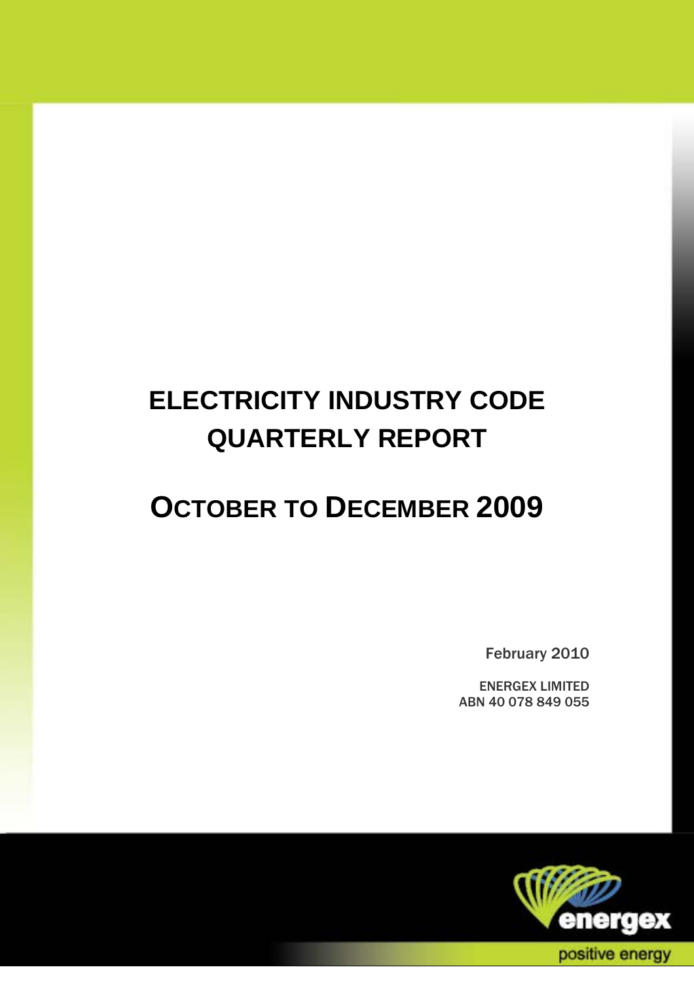# **ELECTRICITY INDUSTRY CODE QUARTERLY REPORT**

# **OCTOBER TO DECEMBER 2009**

February 2010

ENERGEX LIMITED ABN 40 078 849 055

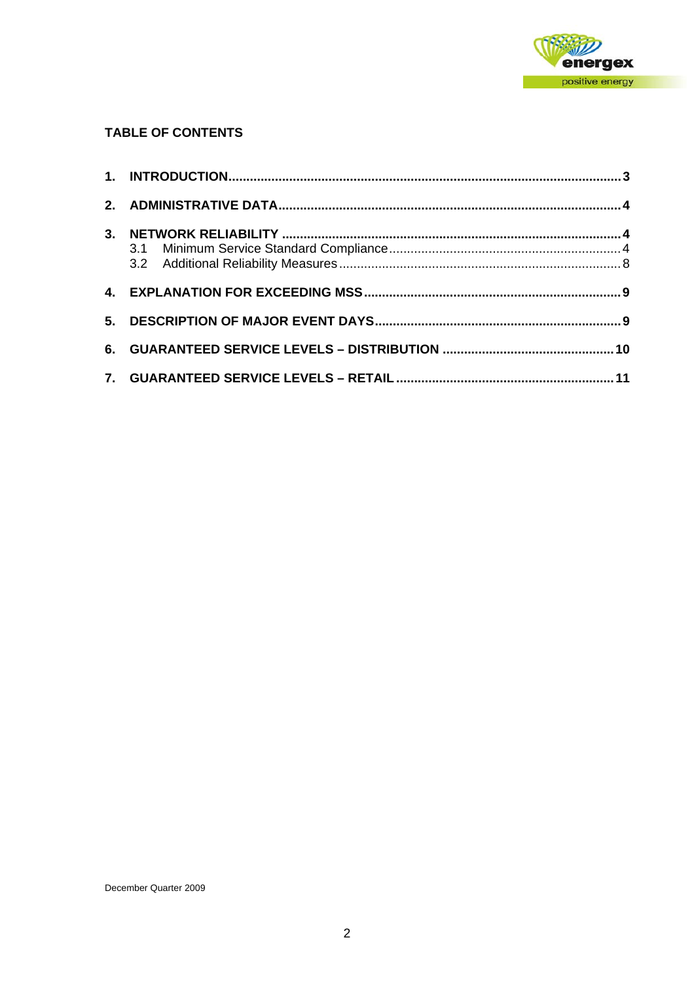

# **TABLE OF CONTENTS**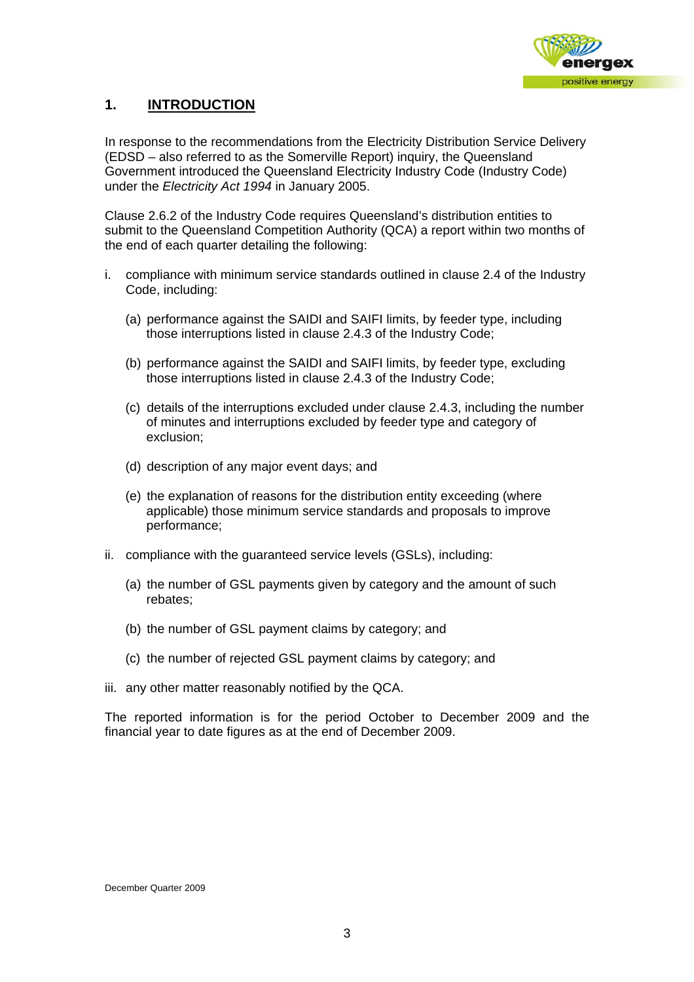

# **1. INTRODUCTION**

In response to the recommendations from the Electricity Distribution Service Delivery (EDSD – also referred to as the Somerville Report) inquiry, the Queensland Government introduced the Queensland Electricity Industry Code (Industry Code) under the *Electricity Act 1994* in January 2005.

Clause 2.6.2 of the Industry Code requires Queensland's distribution entities to submit to the Queensland Competition Authority (QCA) a report within two months of the end of each quarter detailing the following:

- i. compliance with minimum service standards outlined in clause 2.4 of the Industry Code, including:
	- (a) performance against the SAIDI and SAIFI limits, by feeder type, including those interruptions listed in clause 2.4.3 of the Industry Code;
	- (b) performance against the SAIDI and SAIFI limits, by feeder type, excluding those interruptions listed in clause 2.4.3 of the Industry Code;
	- (c) details of the interruptions excluded under clause 2.4.3, including the number of minutes and interruptions excluded by feeder type and category of exclusion;
	- (d) description of any major event days; and
	- (e) the explanation of reasons for the distribution entity exceeding (where applicable) those minimum service standards and proposals to improve performance;
- ii. compliance with the guaranteed service levels (GSLs), including:
	- (a) the number of GSL payments given by category and the amount of such rebates;
	- (b) the number of GSL payment claims by category; and
	- (c) the number of rejected GSL payment claims by category; and
- iii. any other matter reasonably notified by the QCA.

The reported information is for the period October to December 2009 and the financial year to date figures as at the end of December 2009.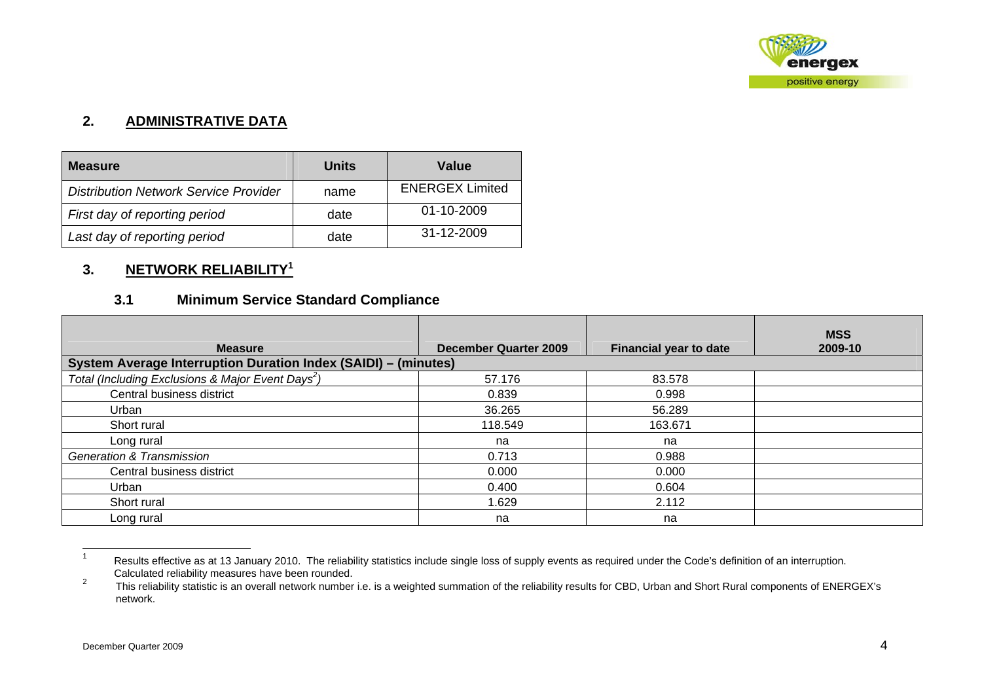

# **2. ADMINISTRATIVE DATA**

| <b>Measure</b>                               | Units | Value                  |
|----------------------------------------------|-------|------------------------|
| <b>Distribution Network Service Provider</b> | name  | <b>ENERGEX Limited</b> |
| First day of reporting period                | date  | 01-10-2009             |
| Last day of reporting period                 | date  | 31-12-2009             |

# **3. NETWORK RELIABILITY<sup>1</sup>**

# **3.1 Minimum Service Standard Compliance**

| <b>Measure</b>                                                 | December Quarter 2009 | <b>Financial year to date</b> | <b>MSS</b><br>2009-10 |
|----------------------------------------------------------------|-----------------------|-------------------------------|-----------------------|
| System Average Interruption Duration Index (SAIDI) - (minutes) |                       |                               |                       |
| Total (Including Exclusions & Major Event Days <sup>2</sup> )  | 57.176                | 83.578                        |                       |
| Central business district                                      | 0.839                 | 0.998                         |                       |
| Urban                                                          | 36.265                | 56.289                        |                       |
| Short rural                                                    | 118.549               | 163.671                       |                       |
| Long rural                                                     | na                    | na                            |                       |
| <b>Generation &amp; Transmission</b>                           | 0.713                 | 0.988                         |                       |
| Central business district                                      | 0.000                 | 0.000                         |                       |
| Urban                                                          | 0.400                 | 0.604                         |                       |
| Short rural                                                    | 1.629                 | 2.112                         |                       |
| Long rural                                                     | na                    | na                            |                       |

<sup>1</sup> Results effective as at 13 January 2010. The reliability statistics include single loss of supply events as required under the Code's definition of an interruption. Calculated reliability measures have been rounded.

This reliability statistic is an overall network number i.e. is a weighted summation of the reliability results for CBD, Urban and Short Rural components of ENERGEX's network.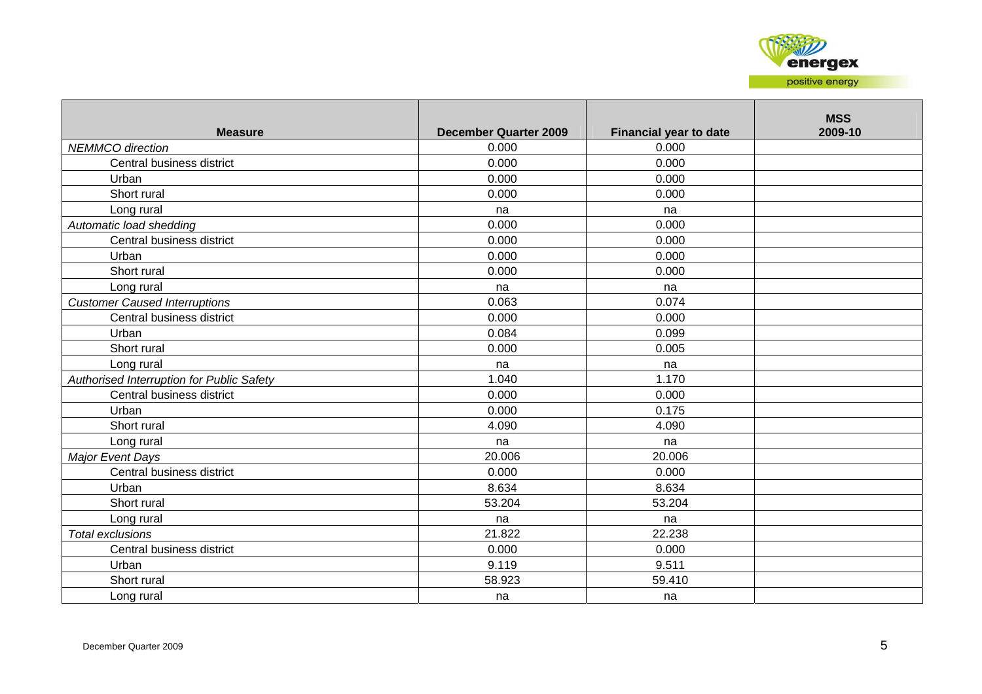

| <b>Measure</b>                            | <b>December Quarter 2009</b> | <b>Financial year to date</b> | <b>MSS</b><br>2009-10 |
|-------------------------------------------|------------------------------|-------------------------------|-----------------------|
| <b>NEMMCO</b> direction                   | 0.000                        | 0.000                         |                       |
| Central business district                 | 0.000                        | 0.000                         |                       |
| Urban                                     | 0.000                        | 0.000                         |                       |
| Short rural                               | 0.000                        | 0.000                         |                       |
| Long rural                                | na                           | na                            |                       |
| Automatic load shedding                   | 0.000                        | 0.000                         |                       |
| Central business district                 | 0.000                        | 0.000                         |                       |
| Urban                                     | 0.000                        | 0.000                         |                       |
| Short rural                               | 0.000                        | 0.000                         |                       |
| Long rural                                | na                           | na                            |                       |
| <b>Customer Caused Interruptions</b>      | 0.063                        | 0.074                         |                       |
| Central business district                 | 0.000                        | 0.000                         |                       |
| Urban                                     | 0.084                        | 0.099                         |                       |
| Short rural                               | 0.000                        | 0.005                         |                       |
| Long rural                                | na                           | na                            |                       |
| Authorised Interruption for Public Safety | 1.040                        | 1.170                         |                       |
| Central business district                 | 0.000                        | 0.000                         |                       |
| Urban                                     | 0.000                        | 0.175                         |                       |
| Short rural                               | 4.090                        | 4.090                         |                       |
| Long rural                                | na                           | na                            |                       |
| Major Event Days                          | 20.006                       | 20.006                        |                       |
| Central business district                 | 0.000                        | 0.000                         |                       |
| Urban                                     | 8.634                        | 8.634                         |                       |
| Short rural                               | 53.204                       | 53.204                        |                       |
| Long rural                                | na                           | na                            |                       |
| Total exclusions                          | 21.822                       | 22.238                        |                       |
| Central business district                 | 0.000                        | 0.000                         |                       |
| Urban                                     | 9.119                        | 9.511                         |                       |
| Short rural                               | 58.923                       | 59.410                        |                       |
| Long rural                                | na                           | na                            |                       |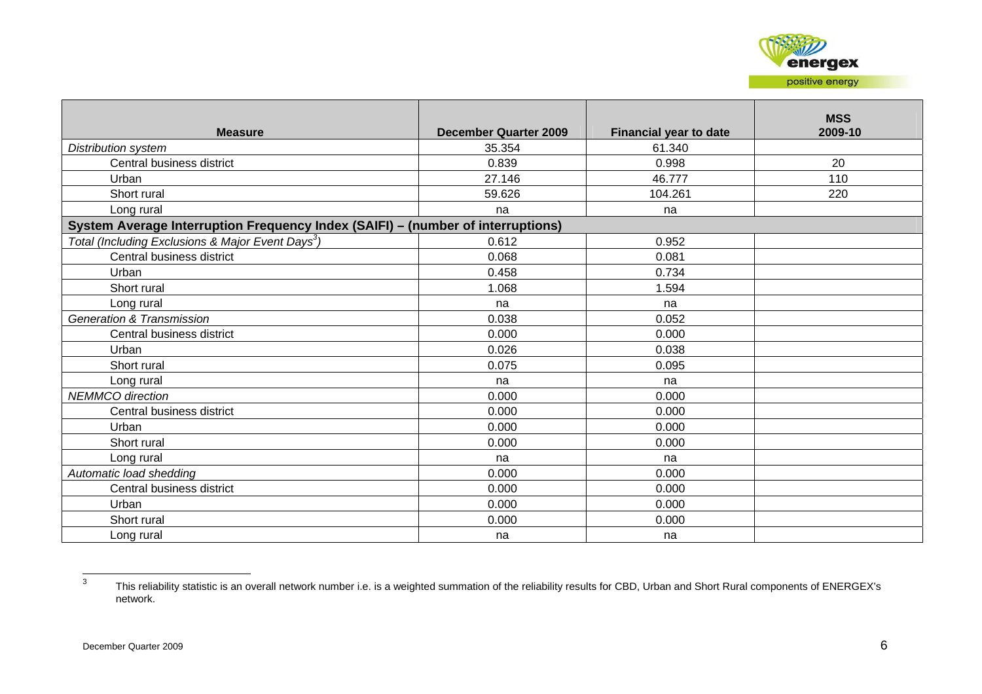

|                                                                                 |                              |                               | <b>MSS</b> |
|---------------------------------------------------------------------------------|------------------------------|-------------------------------|------------|
| <b>Measure</b>                                                                  | <b>December Quarter 2009</b> | <b>Financial year to date</b> | 2009-10    |
| <b>Distribution system</b>                                                      | 35.354                       | 61.340                        |            |
| Central business district                                                       | 0.839                        | 0.998                         | 20         |
| Urban                                                                           | 27.146                       | 46.777                        | 110        |
| Short rural                                                                     | 59.626                       | 104.261                       | 220        |
| Long rural                                                                      | na                           | na                            |            |
| System Average Interruption Frequency Index (SAIFI) - (number of interruptions) |                              |                               |            |
| Total (Including Exclusions & Major Event Days <sup>3</sup> )                   | 0.612                        | 0.952                         |            |
| Central business district                                                       | 0.068                        | 0.081                         |            |
| Urban                                                                           | 0.458                        | 0.734                         |            |
| Short rural                                                                     | 1.068                        | 1.594                         |            |
| Long rural                                                                      | na                           | na                            |            |
| <b>Generation &amp; Transmission</b>                                            | 0.038                        | 0.052                         |            |
| Central business district                                                       | 0.000                        | 0.000                         |            |
| Urban                                                                           | 0.026                        | 0.038                         |            |
| Short rural                                                                     | 0.075                        | 0.095                         |            |
| Long rural                                                                      | na                           | na                            |            |
| <b>NEMMCO</b> direction                                                         | 0.000                        | 0.000                         |            |
| Central business district                                                       | 0.000                        | 0.000                         |            |
| Urban                                                                           | 0.000                        | 0.000                         |            |
| Short rural                                                                     | 0.000                        | 0.000                         |            |
| Long rural                                                                      | na                           | na                            |            |
| Automatic load shedding                                                         | 0.000                        | 0.000                         |            |
| Central business district                                                       | 0.000                        | 0.000                         |            |
| Urban                                                                           | 0.000                        | 0.000                         |            |
| Short rural                                                                     | 0.000                        | 0.000                         |            |
| Long rural                                                                      | na                           | na                            |            |

<sup>3</sup> This reliability statistic is an overall network number i.e. is a weighted summation of the reliability results for CBD, Urban and Short Rural components of ENERGEX's network.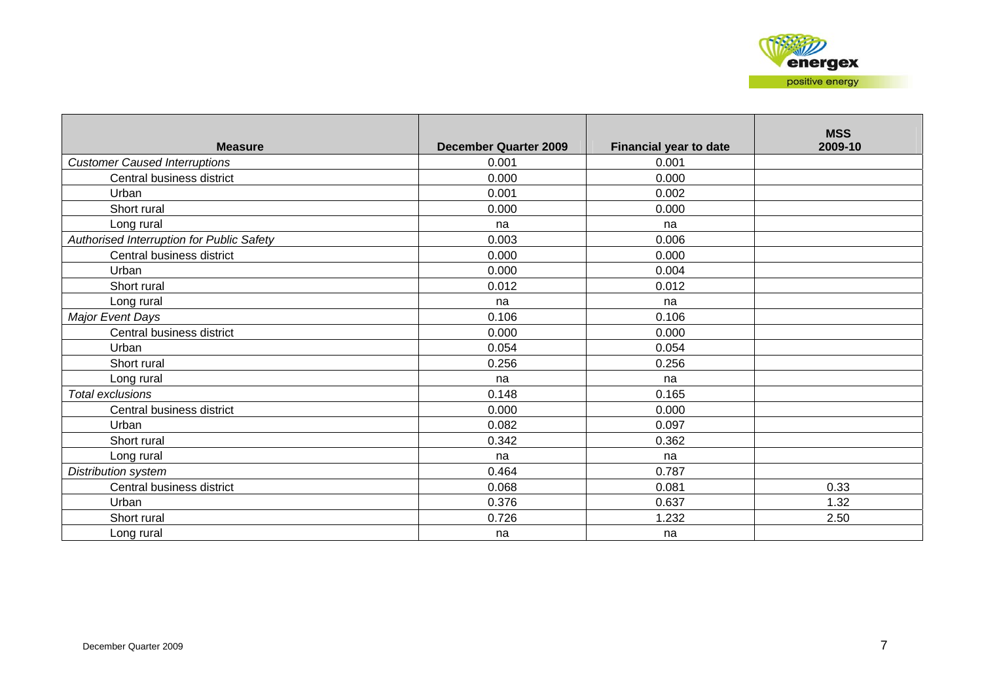| <b>Measure</b>                                   | <b>December Quarter 2009</b> | <b>Financial year to date</b> | <b>MSS</b><br>2009-10 |
|--------------------------------------------------|------------------------------|-------------------------------|-----------------------|
| <b>Customer Caused Interruptions</b>             | 0.001                        | 0.001                         |                       |
| Central business district                        | 0.000                        | 0.000                         |                       |
| Urban                                            | 0.001                        | 0.002                         |                       |
| Short rural                                      | 0.000                        | 0.000                         |                       |
| Long rural                                       | na                           | na                            |                       |
| <b>Authorised Interruption for Public Safety</b> | 0.003                        | 0.006                         |                       |
| Central business district                        | 0.000                        | 0.000                         |                       |
| Urban                                            | 0.000                        | 0.004                         |                       |
| Short rural                                      | 0.012                        | 0.012                         |                       |
| Long rural                                       | na                           | na                            |                       |
| Major Event Days                                 | 0.106                        | 0.106                         |                       |
| Central business district                        | 0.000                        | 0.000                         |                       |
| Urban                                            | 0.054                        | 0.054                         |                       |
| Short rural                                      | 0.256                        | 0.256                         |                       |
| Long rural                                       | na                           | na                            |                       |
| Total exclusions                                 | 0.148                        | 0.165                         |                       |
| Central business district                        | 0.000                        | 0.000                         |                       |
| Urban                                            | 0.082                        | 0.097                         |                       |
| Short rural                                      | 0.342                        | 0.362                         |                       |
| Long rural                                       | na                           | na                            |                       |
| Distribution system                              | 0.464                        | 0.787                         |                       |
| Central business district                        | 0.068                        | 0.081                         | 0.33                  |
| Urban                                            | 0.376                        | 0.637                         | 1.32                  |
| Short rural                                      | 0.726                        | 1.232                         | 2.50                  |
| Long rural                                       | na                           | na                            |                       |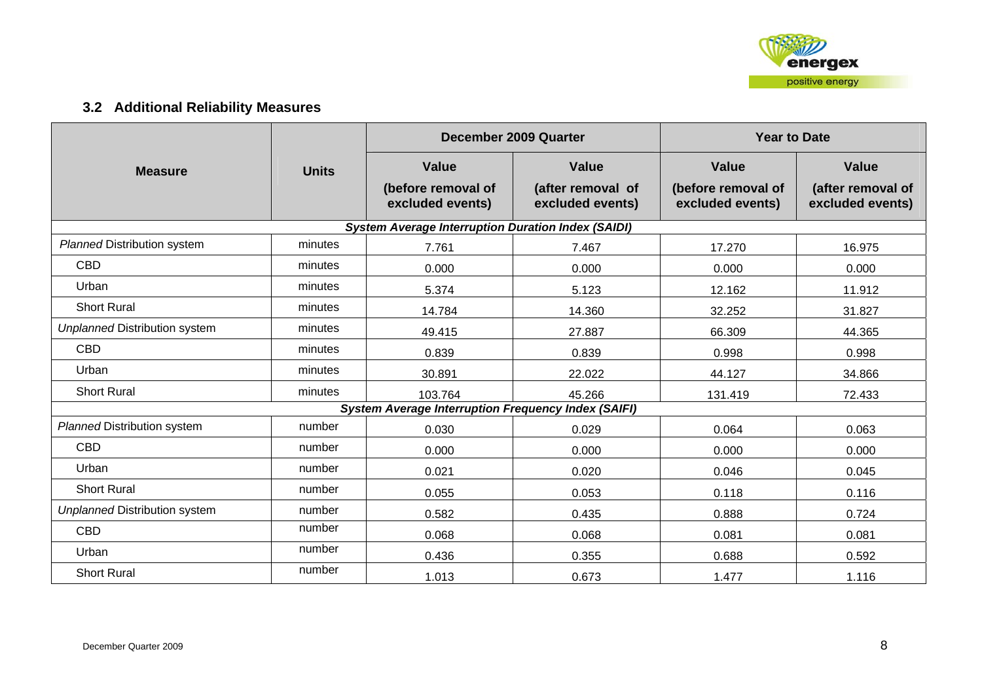

# **3.2 Additional Reliability Measures**

|                                      |              |                                                            | December 2009 Quarter                 | <b>Year to Date</b>                    |                                       |  |
|--------------------------------------|--------------|------------------------------------------------------------|---------------------------------------|----------------------------------------|---------------------------------------|--|
| <b>Measure</b>                       | <b>Units</b> | <b>Value</b>                                               | <b>Value</b>                          | <b>Value</b>                           | <b>Value</b>                          |  |
|                                      |              | (before removal of<br>excluded events)                     | (after removal of<br>excluded events) | (before removal of<br>excluded events) | (after removal of<br>excluded events) |  |
|                                      |              | <b>System Average Interruption Duration Index (SAIDI)</b>  |                                       |                                        |                                       |  |
| <b>Planned Distribution system</b>   | minutes      | 7.761                                                      | 7.467                                 | 17.270                                 | 16.975                                |  |
| <b>CBD</b>                           | minutes      | 0.000                                                      | 0.000                                 | 0.000                                  | 0.000                                 |  |
| Urban                                | minutes      | 5.374                                                      | 5.123                                 | 12.162                                 | 11.912                                |  |
| <b>Short Rural</b>                   | minutes      | 14.784                                                     | 14.360                                | 32.252                                 | 31.827                                |  |
| <b>Unplanned Distribution system</b> | minutes      | 49.415                                                     | 27.887                                | 66.309                                 | 44.365                                |  |
| <b>CBD</b>                           | minutes      | 0.839                                                      | 0.839                                 | 0.998                                  | 0.998                                 |  |
| Urban                                | minutes      | 30.891                                                     | 22.022                                | 44.127                                 | 34.866                                |  |
| <b>Short Rural</b>                   | minutes      | 103.764                                                    | 45.266                                | 131.419                                | 72.433                                |  |
|                                      |              | <b>System Average Interruption Frequency Index (SAIFI)</b> |                                       |                                        |                                       |  |
| <b>Planned Distribution system</b>   | number       | 0.030                                                      | 0.029                                 | 0.064                                  | 0.063                                 |  |
| <b>CBD</b>                           | number       | 0.000                                                      | 0.000                                 | 0.000                                  | 0.000                                 |  |
| Urban                                | number       | 0.021                                                      | 0.020                                 | 0.046                                  | 0.045                                 |  |
| <b>Short Rural</b>                   | number       | 0.055                                                      | 0.053                                 | 0.118                                  | 0.116                                 |  |
| <b>Unplanned Distribution system</b> | number       | 0.582                                                      | 0.435                                 | 0.888                                  | 0.724                                 |  |
| <b>CBD</b>                           | number       | 0.068                                                      | 0.068                                 | 0.081                                  | 0.081                                 |  |
| Urban                                | number       | 0.436                                                      | 0.355                                 | 0.688                                  | 0.592                                 |  |
| <b>Short Rural</b>                   | number       | 1.013                                                      | 0.673                                 | 1.477                                  | 1.116                                 |  |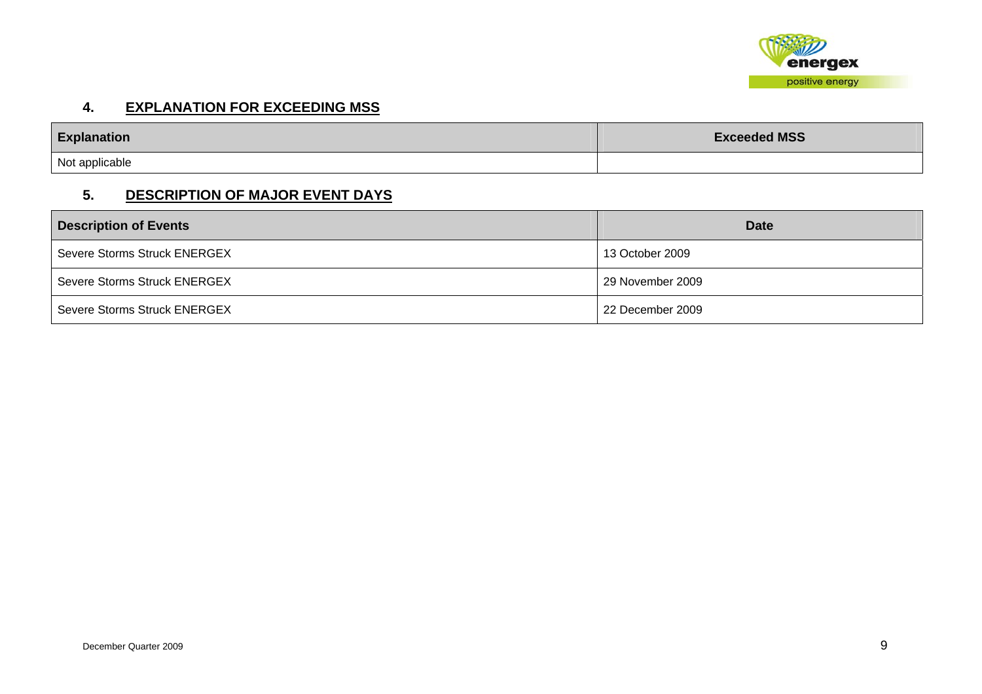

#### **4. EXPLANATION FOR EXCEEDING MSS**

| <b>Explanation</b> | <b>Exceeded MSS</b> |  |
|--------------------|---------------------|--|
| Not applicable     |                     |  |

## **5. DESCRIPTION OF MAJOR EVENT DAYS**

| <b>Description of Events</b> | <b>Date</b>      |
|------------------------------|------------------|
| Severe Storms Struck ENERGEX | 13 October 2009  |
| Severe Storms Struck ENERGEX | 29 November 2009 |
| Severe Storms Struck ENERGEX | 22 December 2009 |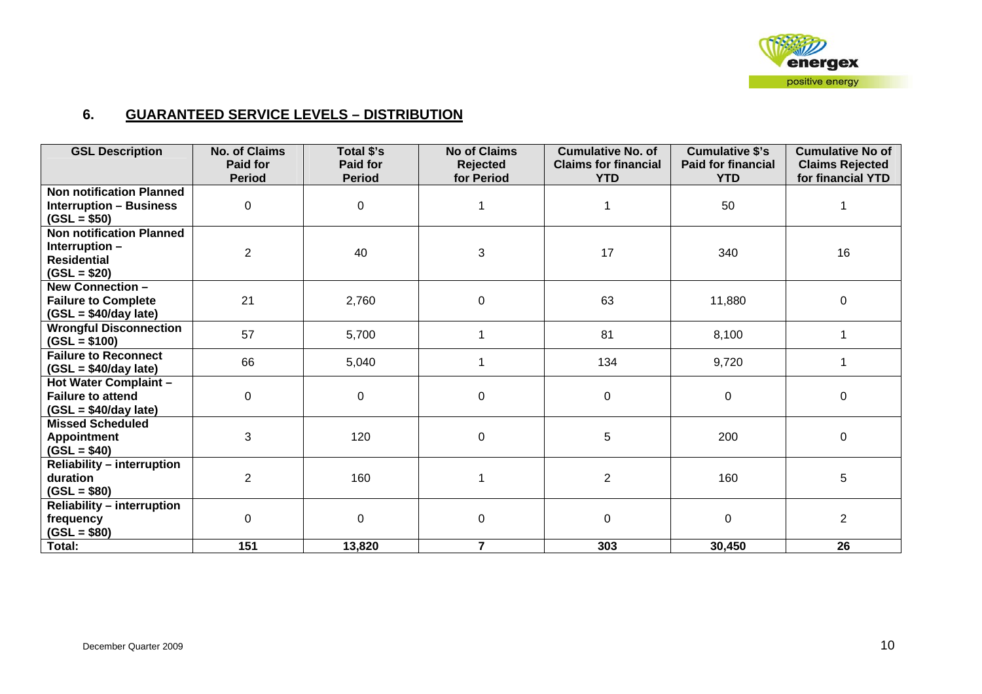

#### **6. GUARANTEED SERVICE LEVELS – DISTRIBUTION**

| <b>GSL Description</b>            | <b>No. of Claims</b><br>Paid for | Total \$'s<br>Paid for | <b>No of Claims</b><br><b>Rejected</b> | <b>Cumulative No. of</b><br><b>Claims for financial</b> | <b>Cumulative \$'s</b><br><b>Paid for financial</b> | <b>Cumulative No of</b><br><b>Claims Rejected</b> |
|-----------------------------------|----------------------------------|------------------------|----------------------------------------|---------------------------------------------------------|-----------------------------------------------------|---------------------------------------------------|
|                                   | <b>Period</b>                    | <b>Period</b>          | for Period                             | <b>YTD</b>                                              | <b>YTD</b>                                          | for financial YTD                                 |
| <b>Non notification Planned</b>   |                                  |                        |                                        |                                                         |                                                     |                                                   |
| <b>Interruption - Business</b>    | 0                                | $\mathbf 0$            |                                        |                                                         | 50                                                  |                                                   |
| $(GSL = $50)$                     |                                  |                        |                                        |                                                         |                                                     |                                                   |
| <b>Non notification Planned</b>   |                                  |                        |                                        |                                                         |                                                     |                                                   |
| Interruption -                    | $\overline{2}$                   | 40                     | 3                                      | 17                                                      | 340                                                 | 16                                                |
| <b>Residential</b>                |                                  |                        |                                        |                                                         |                                                     |                                                   |
| $(GSL = $20)$                     |                                  |                        |                                        |                                                         |                                                     |                                                   |
| New Connection -                  |                                  |                        |                                        |                                                         |                                                     |                                                   |
| <b>Failure to Complete</b>        | 21                               | 2,760                  | 0                                      | 63                                                      | 11,880                                              | 0                                                 |
| $(GSL = $40/day$ late)            |                                  |                        |                                        |                                                         |                                                     |                                                   |
| <b>Wrongful Disconnection</b>     | 57                               | 5,700                  |                                        | 81                                                      | 8,100                                               |                                                   |
| $(GSL = $100)$                    |                                  |                        |                                        |                                                         |                                                     |                                                   |
| <b>Failure to Reconnect</b>       | 66                               | 5,040                  |                                        | 134                                                     | 9,720                                               |                                                   |
| $(GSL = $40/day$ late)            |                                  |                        |                                        |                                                         |                                                     |                                                   |
| Hot Water Complaint -             |                                  |                        |                                        |                                                         |                                                     |                                                   |
| <b>Failure to attend</b>          | 0                                | $\mathbf 0$            | 0                                      | 0                                                       | $\mathbf 0$                                         | $\mathbf 0$                                       |
| $(GSL = $40/day$ late)            |                                  |                        |                                        |                                                         |                                                     |                                                   |
| <b>Missed Scheduled</b>           |                                  |                        |                                        |                                                         |                                                     |                                                   |
| <b>Appointment</b>                | 3                                | 120                    | $\pmb{0}$                              | 5                                                       | 200                                                 | 0                                                 |
| $(GSL = $40)$                     |                                  |                        |                                        |                                                         |                                                     |                                                   |
| <b>Reliability - interruption</b> |                                  |                        |                                        |                                                         |                                                     |                                                   |
| duration                          | $\overline{2}$                   | 160                    |                                        | $\overline{2}$                                          | 160                                                 | 5                                                 |
| $(GSL = $80)$                     |                                  |                        |                                        |                                                         |                                                     |                                                   |
| <b>Reliability - interruption</b> |                                  |                        |                                        |                                                         |                                                     |                                                   |
| frequency                         | $\Omega$                         | 0                      | 0                                      | 0                                                       | $\mathbf 0$                                         | $\overline{2}$                                    |
| $(GSL = $80)$                     |                                  |                        |                                        |                                                         |                                                     |                                                   |
| Total:                            | 151                              | 13,820                 | $\overline{7}$                         | 303                                                     | 30,450                                              | 26                                                |